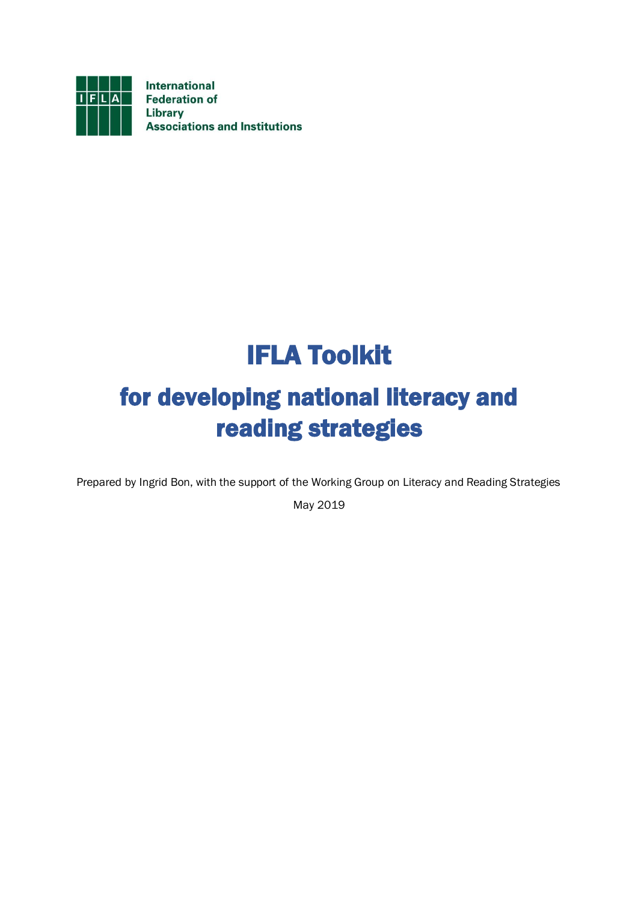

# IFLA Toolkit

# for developing national literacy and reading strategies

Prepared by Ingrid Bon, with the support of the Working Group on Literacy and Reading Strategies

May 2019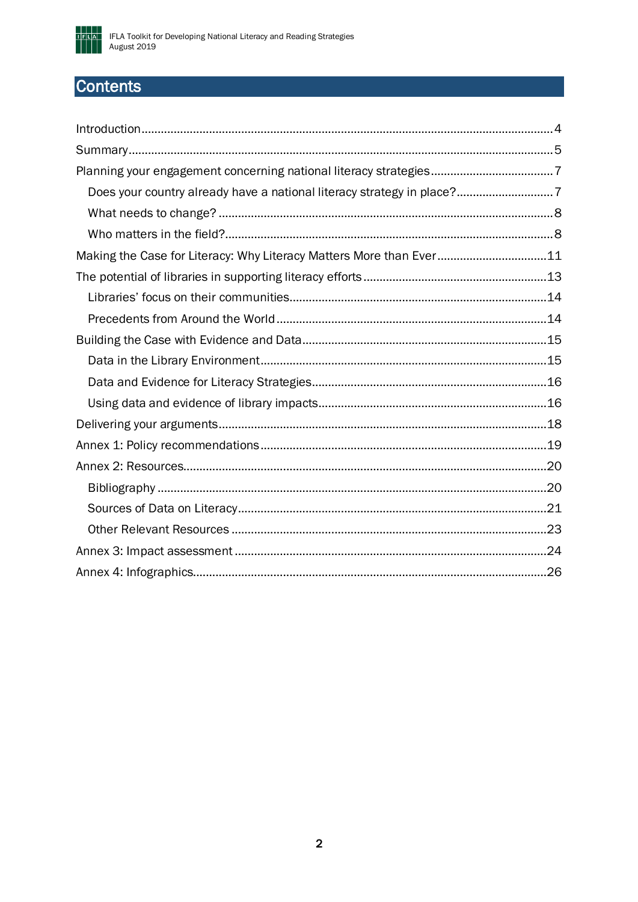

# Contents

| Does your country already have a national literacy strategy in place?7 |  |
|------------------------------------------------------------------------|--|
|                                                                        |  |
|                                                                        |  |
| Making the Case for Literacy: Why Literacy Matters More than Ever11    |  |
|                                                                        |  |
|                                                                        |  |
|                                                                        |  |
|                                                                        |  |
|                                                                        |  |
|                                                                        |  |
|                                                                        |  |
|                                                                        |  |
|                                                                        |  |
|                                                                        |  |
|                                                                        |  |
|                                                                        |  |
|                                                                        |  |
|                                                                        |  |
|                                                                        |  |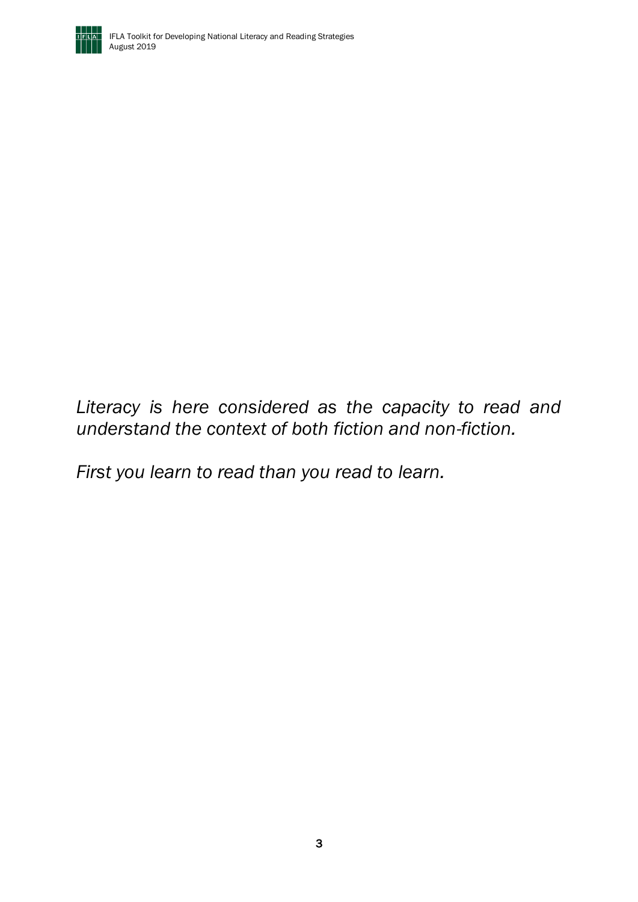

*Literacy is here considered as the capacity to read and understand the context of both fiction and non-fiction.*

*First you learn to read than you read to learn.*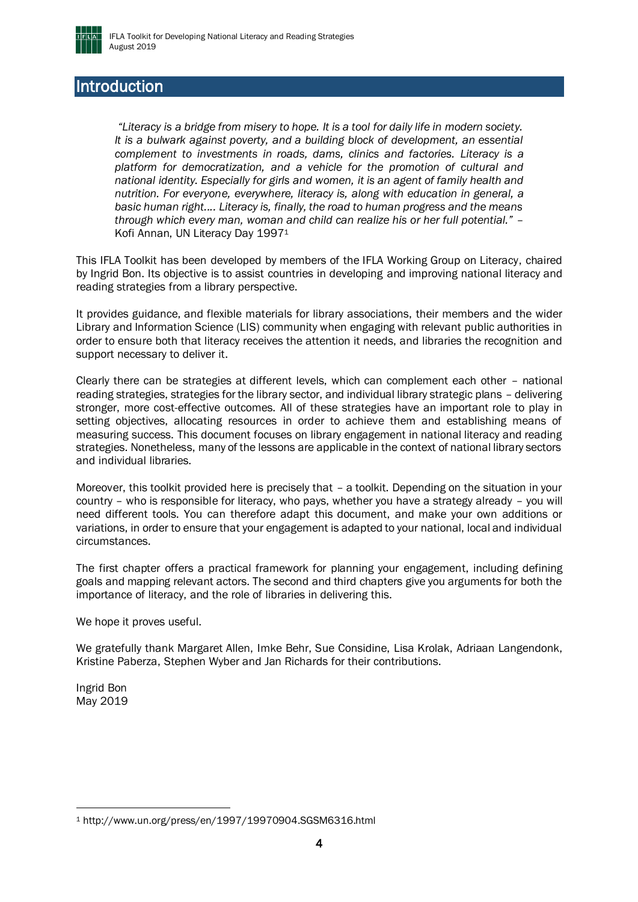

### <span id="page-3-0"></span>Introduction

*"Literacy is a bridge from misery to hope. It is a tool for daily life in modern society. It is a bulwark against poverty, and a building block of development, an essential complement to investments in roads, dams, clinics and factories. Literacy is a platform for democratization, and a vehicle for the promotion of cultural and national identity. Especially for girls and women, it is an agent of family health and nutrition. For everyone, everywhere, literacy is, along with education in general, a basic human right.... Literacy is, finally, the road to human progress and the means through which every man, woman and child can realize his or her full potential."* – Kofi Annan, UN Literacy Day 1997<sup>1</sup>

This IFLA Toolkit has been developed by members of the IFLA Working Group on Literacy, chaired by Ingrid Bon. Its objective is to assist countries in developing and improving national literacy and reading strategies from a library perspective.

It provides guidance, and flexible materials for library associations, their members and the wider Library and Information Science (LIS) community when engaging with relevant public authorities in order to ensure both that literacy receives the attention it needs, and libraries the recognition and support necessary to deliver it.

Clearly there can be strategies at different levels, which can complement each other – national reading strategies, strategies for the library sector, and individual library strategic plans – delivering stronger, more cost-effective outcomes. All of these strategies have an important role to play in setting objectives, allocating resources in order to achieve them and establishing means of measuring success. This document focuses on library engagement in national literacy and reading strategies. Nonetheless, many of the lessons are applicable in the context of national library sectors and individual libraries.

Moreover, this toolkit provided here is precisely that – a toolkit. Depending on the situation in your country – who is responsible for literacy, who pays, whether you have a strategy already – you will need different tools. You can therefore adapt this document, and make your own additions or variations, in order to ensure that your engagement is adapted to your national, local and individual circumstances.

The first chapter offers a practical framework for planning your engagement, including defining goals and mapping relevant actors. The second and third chapters give you arguments for both the importance of literacy, and the role of libraries in delivering this.

We hope it proves useful.

We gratefully thank Margaret Allen, Imke Behr, Sue Considine, Lisa Krolak, Adriaan Langendonk, Kristine Paberza, Stephen Wyber and Jan Richards for their contributions.

Ingrid Bon May 2019

<sup>1</sup> http://www.un.org/press/en/1997/19970904.SGSM6316.html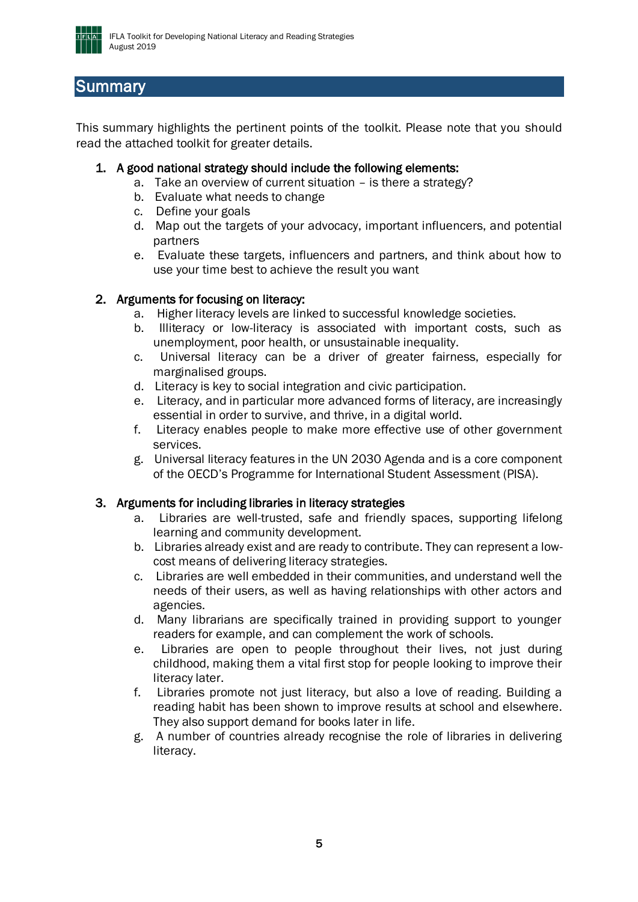

### <span id="page-4-0"></span>**Summary**

This summary highlights the pertinent points of the toolkit. Please note that you should read the attached toolkit for greater details.

### 1. A good national strategy should include the following elements:

- a. Take an overview of current situation is there a strategy?
- b. Evaluate what needs to change
- c. Define your goals
- d. Map out the targets of your advocacy, important influencers, and potential partners
- e. Evaluate these targets, influencers and partners, and think about how to use your time best to achieve the result you want

### 2. Arguments for focusing on literacy:

- a. Higher literacy levels are linked to successful knowledge societies.
- b. Illiteracy or low-literacy is associated with important costs, such as unemployment, poor health, or unsustainable inequality.
- c. Universal literacy can be a driver of greater fairness, especially for marginalised groups.
- d. Literacy is key to social integration and civic participation.
- e. Literacy, and in particular more advanced forms of literacy, are increasingly essential in order to survive, and thrive, in a digital world.
- f. Literacy enables people to make more effective use of other government services.
- g. Universal literacy features in the UN 2030 Agenda and is a core component of the OECD's Programme for International Student Assessment (PISA).

### 3. Arguments for including libraries in literacy strategies

- a. Libraries are well-trusted, safe and friendly spaces, supporting lifelong learning and community development.
- b. Libraries already exist and are ready to contribute. They can represent a lowcost means of delivering literacy strategies.
- c. Libraries are well embedded in their communities, and understand well the needs of their users, as well as having relationships with other actors and agencies.
- d. Many librarians are specifically trained in providing support to younger readers for example, and can complement the work of schools.
- e. Libraries are open to people throughout their lives, not just during childhood, making them a vital first stop for people looking to improve their literacy later.
- f. Libraries promote not just literacy, but also a love of reading. Building a reading habit has been shown to improve results at school and elsewhere. They also support demand for books later in life.
- g. A number of countries already recognise the role of libraries in delivering literacy.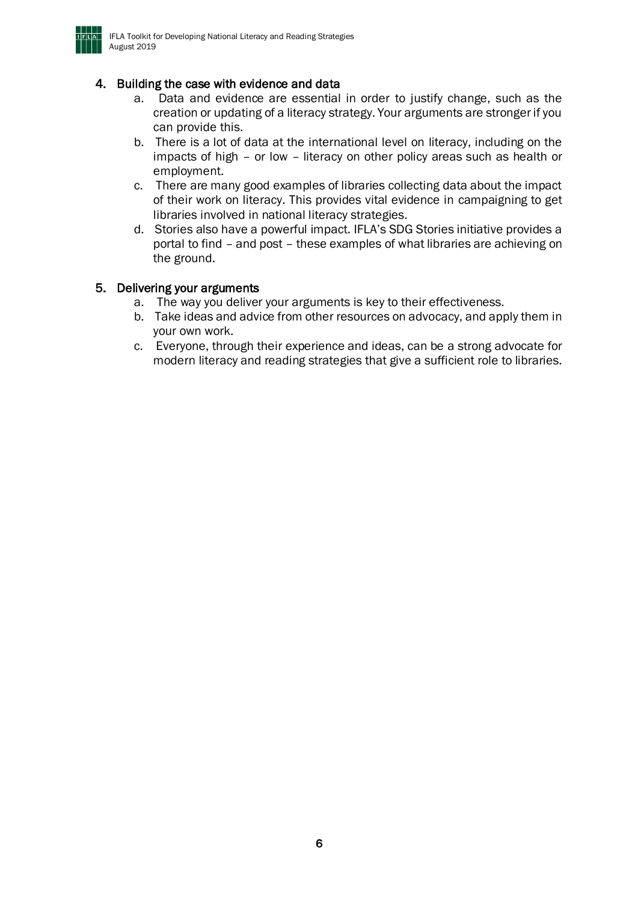

### 4. Building the case with evidence and data

- a. Data and evidence are essential in order to justify change, such as the creation or updating of a literacy strategy. Your arguments are stronger if you can provide this.
- b. There is a lot of data at the international level on literacy, including on the impacts of high – or low – literacy on other policy areas such as health or employment.
- c. There are many good examples of libraries collecting data about the impact of their work on literacy. This provides vital evidence in campaigning to get libraries involved in national literacy strategies.
- d. Stories also have a powerful impact. IFLA's SDG Stories initiative provides a portal to find – and post – these examples of what libraries are achieving on the ground.

### 5. Delivering your arguments

- a. The way you deliver your arguments is key to their effectiveness.
- b. Take ideas and advice from other resources on advocacy, and apply them in your own work.
- c. Everyone, through their experience and ideas, can be a strong advocate for modern literacy and reading strategies that give a sufficient role to libraries.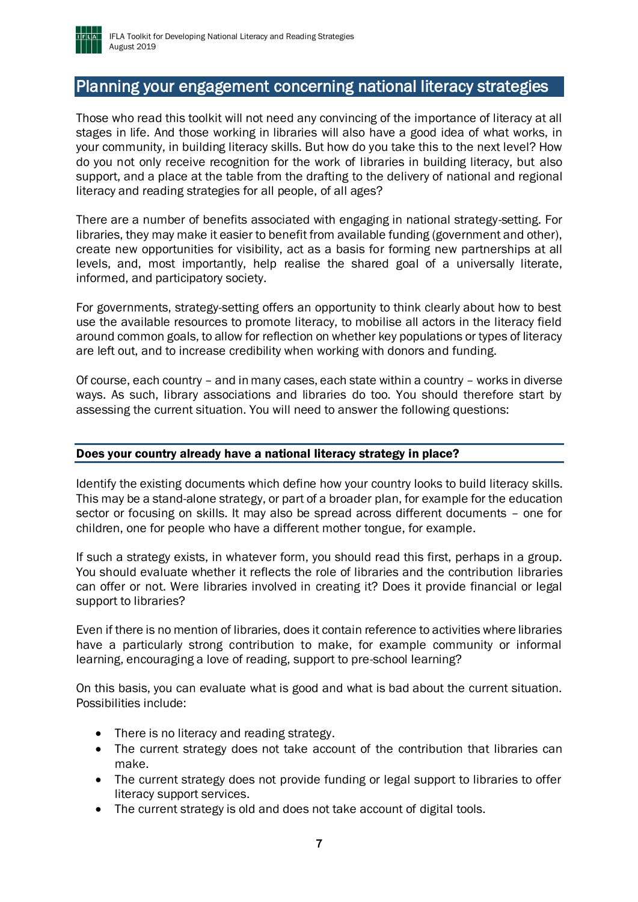

### <span id="page-6-0"></span>Planning your engagement concerning national literacy strategies

Those who read this toolkit will not need any convincing of the importance of literacy at all stages in life. And those working in libraries will also have a good idea of what works, in your community, in building literacy skills. But how do you take this to the next level? How do you not only receive recognition for the work of libraries in building literacy, but also support, and a place at the table from the drafting to the delivery of national and regional literacy and reading strategies for all people, of all ages?

There are a number of benefits associated with engaging in national strategy-setting. For libraries, they may make it easier to benefit from available funding (government and other), create new opportunities for visibility, act as a basis for forming new partnerships at all levels, and, most importantly, help realise the shared goal of a universally literate, informed, and participatory society.

For governments, strategy-setting offers an opportunity to think clearly about how to best use the available resources to promote literacy, to mobilise all actors in the literacy field around common goals, to allow for reflection on whether key populations or types of literacy are left out, and to increase credibility when working with donors and funding.

Of course, each country – and in many cases, each state within a country – works in diverse ways. As such, library associations and libraries do too. You should therefore start by assessing the current situation. You will need to answer the following questions:

### <span id="page-6-1"></span>Does your country already have a national literacy strategy in place?

Identify the existing documents which define how your country looks to build literacy skills. This may be a stand-alone strategy, or part of a broader plan, for example for the education sector or focusing on skills. It may also be spread across different documents – one for children, one for people who have a different mother tongue, for example.

If such a strategy exists, in whatever form, you should read this first, perhaps in a group. You should evaluate whether it reflects the role of libraries and the contribution libraries can offer or not. Were libraries involved in creating it? Does it provide financial or legal support to libraries?

Even if there is no mention of libraries, does it contain reference to activities where libraries have a particularly strong contribution to make, for example community or informal learning, encouraging a love of reading, support to pre-school learning?

On this basis, you can evaluate what is good and what is bad about the current situation. Possibilities include:

- There is no literacy and reading strategy.
- The current strategy does not take account of the contribution that libraries can make.
- The current strategy does not provide funding or legal support to libraries to offer literacy support services.
- The current strategy is old and does not take account of digital tools.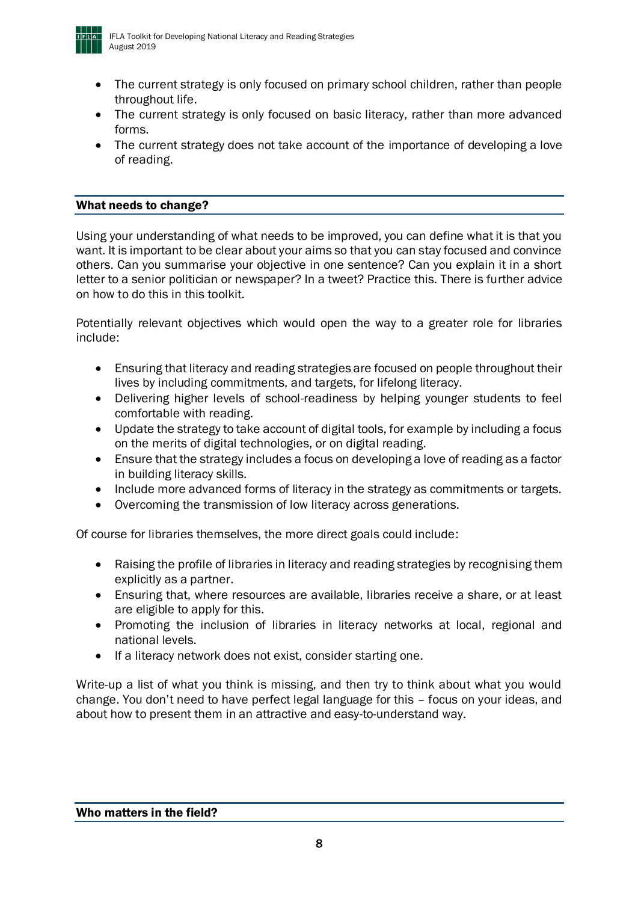

- The current strategy is only focused on primary school children, rather than people throughout life.
- The current strategy is only focused on basic literacy, rather than more advanced forms.
- The current strategy does not take account of the importance of developing a love of reading.

### <span id="page-7-0"></span>What needs to change?

Using your understanding of what needs to be improved, you can define what it is that you want. It is important to be clear about your aims so that you can stay focused and convince others. Can you summarise your objective in one sentence? Can you explain it in a short letter to a senior politician or newspaper? In a tweet? Practice this. There is further advice on how to do this in this toolkit.

Potentially relevant objectives which would open the way to a greater role for libraries include:

- Ensuring that literacy and reading strategies are focused on people throughout their lives by including commitments, and targets, for lifelong literacy.
- Delivering higher levels of school-readiness by helping younger students to feel comfortable with reading.
- Update the strategy to take account of digital tools, for example by including a focus on the merits of digital technologies, or on digital reading.
- Ensure that the strategy includes a focus on developing a love of reading as a factor in building literacy skills.
- Include more advanced forms of literacy in the strategy as commitments or targets.
- Overcoming the transmission of low literacy across generations.

Of course for libraries themselves, the more direct goals could include:

- Raising the profile of libraries in literacy and reading strategies by recognising them explicitly as a partner.
- Ensuring that, where resources are available, libraries receive a share, or at least are eligible to apply for this.
- Promoting the inclusion of libraries in literacy networks at local, regional and national levels.
- If a literacy network does not exist, consider starting one.

<span id="page-7-1"></span>Write-up a list of what you think is missing, and then try to think about what you would change. You don't need to have perfect legal language for this – focus on your ideas, and about how to present them in an attractive and easy-to-understand way.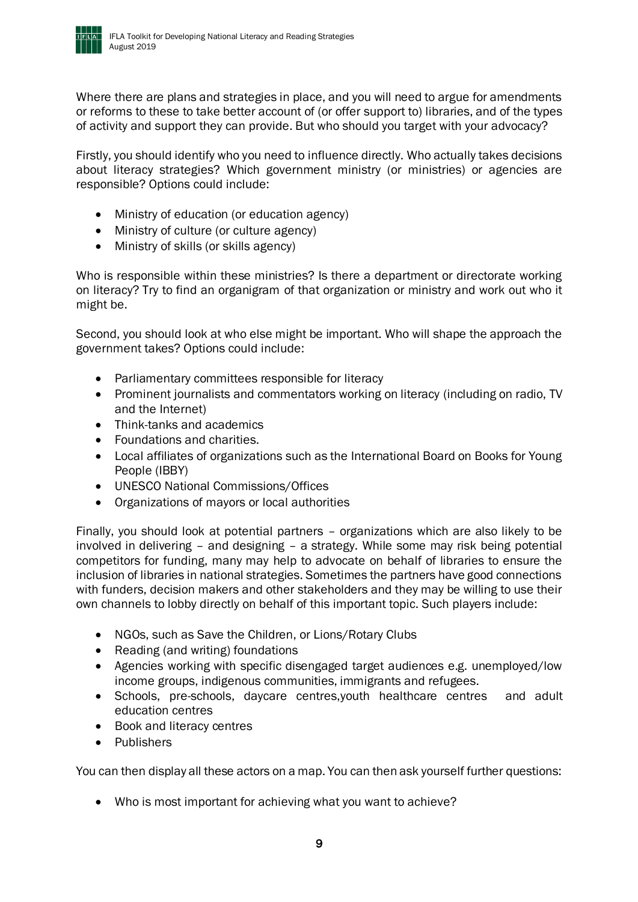

Where there are plans and strategies in place, and you will need to argue for amendments or reforms to these to take better account of (or offer support to) libraries, and of the types of activity and support they can provide. But who should you target with your advocacy?

Firstly, you should identify who you need to influence directly. Who actually takes decisions about literacy strategies? Which government ministry (or ministries) or agencies are responsible? Options could include:

- Ministry of education (or education agency)
- Ministry of culture (or culture agency)
- Ministry of skills (or skills agency)

Who is responsible within these ministries? Is there a department or directorate working on literacy? Try to find an organigram of that organization or ministry and work out who it might be.

Second, you should look at who else might be important. Who will shape the approach the government takes? Options could include:

- Parliamentary committees responsible for literacy
- Prominent journalists and commentators working on literacy (including on radio, TV and the Internet)
- Think-tanks and academics
- Foundations and charities.
- Local affiliates of organizations such as the International Board on Books for Young People (IBBY)
- UNESCO National Commissions/Offices
- Organizations of mayors or local authorities

Finally, you should look at potential partners – organizations which are also likely to be involved in delivering – and designing – a strategy. While some may risk being potential competitors for funding, many may help to advocate on behalf of libraries to ensure the inclusion of libraries in national strategies. Sometimes the partners have good connections with funders, decision makers and other stakeholders and they may be willing to use their own channels to lobby directly on behalf of this important topic. Such players include:

- NGOs, such as Save the Children, or Lions/Rotary Clubs
- Reading (and writing) foundations
- Agencies working with specific disengaged target audiences e.g. unemployed/low income groups, indigenous communities, immigrants and refugees.
- Schools, pre-schools, daycare centres,youth healthcare centres and adult education centres
- Book and literacy centres
- Publishers

You can then display all these actors on a map. You can then ask yourself further questions:

• Who is most important for achieving what you want to achieve?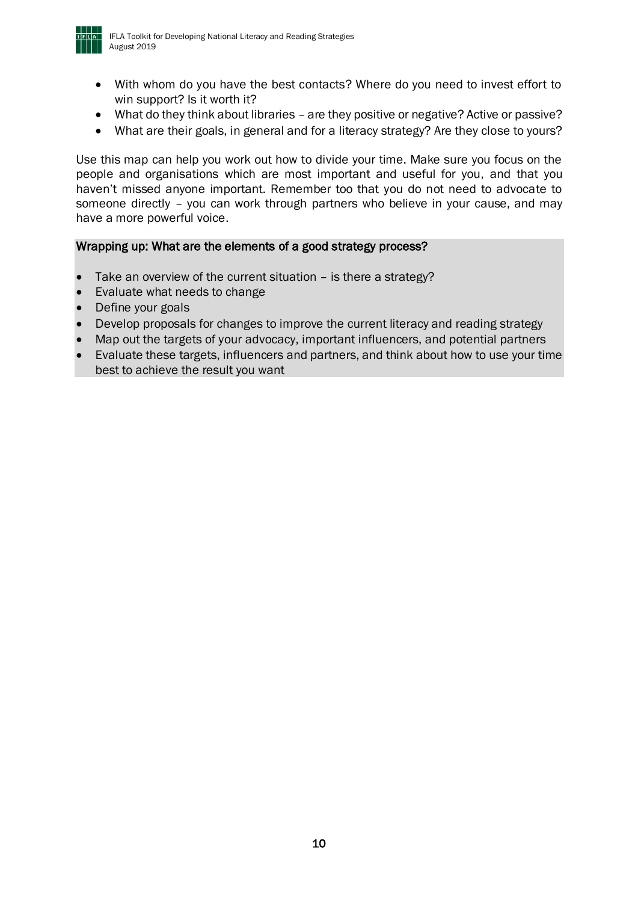

- With whom do you have the best contacts? Where do you need to invest effort to win support? Is it worth it?
- What do they think about libraries are they positive or negative? Active or passive?
- What are their goals, in general and for a literacy strategy? Are they close to yours?

Use this map can help you work out how to divide your time. Make sure you focus on the people and organisations which are most important and useful for you, and that you haven't missed anyone important. Remember too that you do not need to advocate to someone directly – you can work through partners who believe in your cause, and may have a more powerful voice.

### Wrapping up: What are the elements of a good strategy process?

- Take an overview of the current situation  $-$  is there a strategy?
- Evaluate what needs to change
- Define your goals
- Develop proposals for changes to improve the current literacy and reading strategy
- Map out the targets of your advocacy, important influencers, and potential partners
- Evaluate these targets, influencers and partners, and think about how to use your time best to achieve the result you want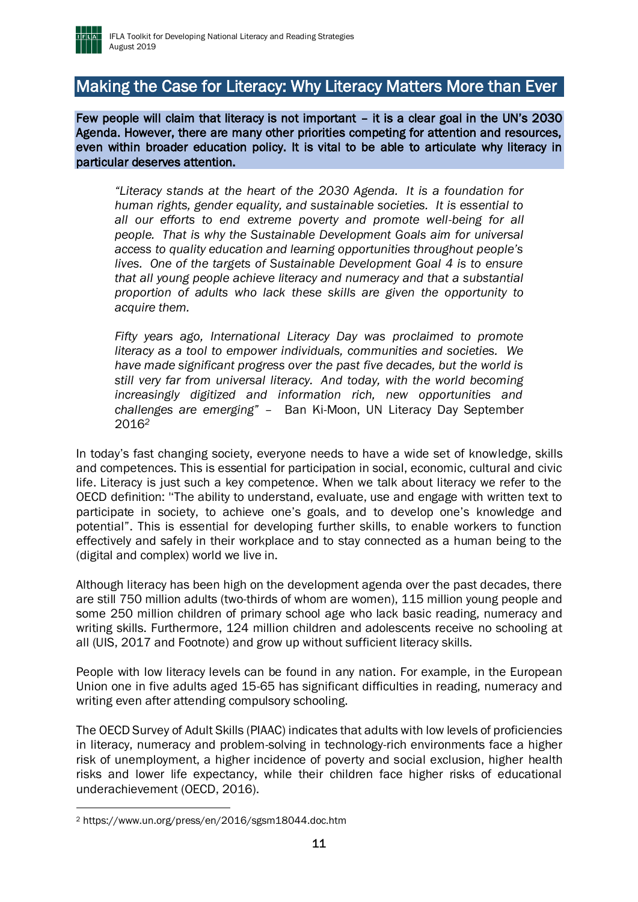

### <span id="page-10-0"></span>Making the Case for Literacy: Why Literacy Matters More than Ever

Few people will claim that literacy is not important – it is a clear goal in the UN's 2030 Agenda. However, there are many other priorities competing for attention and resources, even within broader education policy. It is vital to be able to articulate why literacy in particular deserves attention.

*"Literacy stands at the heart of the 2030 Agenda. It is a foundation for human rights, gender equality, and sustainable societies. It is essential to all our efforts to end extreme poverty and promote well-being for all people. That is why the Sustainable Development Goals aim for universal access to quality education and learning opportunities throughout people's lives. One of the targets of Sustainable Development Goal 4 is to ensure that all young people achieve literacy and numeracy and that a substantial proportion of adults who lack these skills are given the opportunity to acquire them.* 

*Fifty years ago, International Literacy Day was proclaimed to promote literacy as a tool to empower individuals, communities and societies. We have made significant progress over the past five decades, but the world is still very far from universal literacy. And today, with the world becoming increasingly digitized and information rich, new opportunities and challenges are emerging" –* Ban Ki-Moon, UN Literacy Day September 2016*<sup>2</sup>*

In today's fast changing society, everyone needs to have a wide set of knowledge, skills and competences. This is essential for participation in social, economic, cultural and civic life. Literacy is just such a key competence. When we talk about literacy we refer to the OECD definition: ''The ability to understand, evaluate, use and engage with written text to participate in society, to achieve one's goals, and to develop one's knowledge and potential". This is essential for developing further skills, to enable workers to function effectively and safely in their workplace and to stay connected as a human being to the (digital and complex) world we live in.

Although literacy has been high on the development agenda over the past decades, there are still 750 million adults (two-thirds of whom are women), 115 million young people and some 250 million children of primary school age who lack basic reading, numeracy and writing skills. Furthermore, 124 million children and adolescents receive no schooling at all (UIS, 2017 and Footnote) and grow up without sufficient literacy skills.

People with low literacy levels can be found in any nation. For example, in the European Union one in five adults aged 15-65 has significant difficulties in reading, numeracy and writing even after attending compulsory schooling.

The OECD Survey of Adult Skills (PIAAC) indicates that adults with low levels of proficiencies in literacy, numeracy and problem-solving in technology-rich environments face a higher risk of unemployment, a higher incidence of poverty and social exclusion, higher health risks and lower life expectancy, while their children face higher risks of educational underachievement (OECD, 2016).

<sup>2</sup> https://www.un.org/press/en/2016/sgsm18044.doc.htm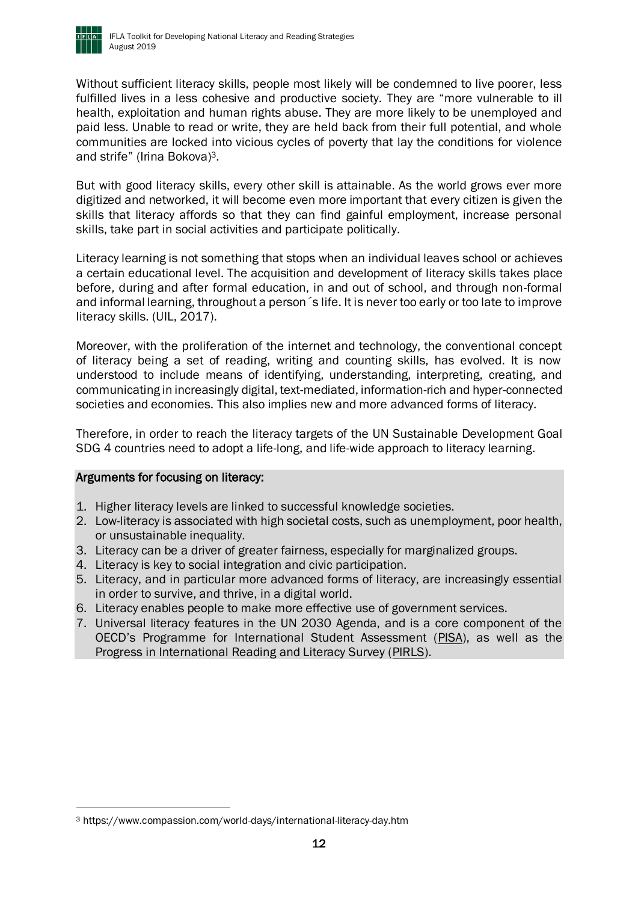

Without sufficient literacy skills, people most likely will be condemned to live poorer, less fulfilled lives in a less cohesive and productive society. They are "more vulnerable to ill health, exploitation and human rights abuse. They are more likely to be unemployed and paid less. Unable to read or write, they are held back from their full potential, and whole communities are locked into vicious cycles of poverty that lay the conditions for violence and strife" (Irina Bokova)3.

But with good literacy skills, every other skill is attainable. As the world grows ever more digitized and networked, it will become even more important that every citizen is given the skills that literacy affords so that they can find gainful employment, increase personal skills, take part in social activities and participate politically.

Literacy learning is not something that stops when an individual leaves school or achieves a certain educational level. The acquisition and development of literacy skills takes place before, during and after formal education, in and out of school, and through non-formal and informal learning, throughout a person´s life. It is never too early or too late to improve literacy skills. (UIL, 2017).

Moreover, with the proliferation of the internet and technology, the conventional concept of literacy being a set of reading, writing and counting skills, has evolved. It is now understood to include means of identifying, understanding, interpreting, creating, and communicating in increasingly digital, text-mediated, information-rich and hyper-connected societies and economies. This also implies new and more advanced forms of literacy.

Therefore, in order to reach the literacy targets of the UN Sustainable Development Goal SDG 4 countries need to adopt a life-long, and life-wide approach to literacy learning.

### Arguments for focusing on literacy:

- 1. Higher literacy levels are linked to successful knowledge societies.
- 2. Low-literacy is associated with high societal costs, such as unemployment, poor health, or unsustainable inequality.
- 3. Literacy can be a driver of greater fairness, especially for marginalized groups.
- 4. Literacy is key to social integration and civic participation.
- 5. Literacy, and in particular more advanced forms of literacy, are increasingly essential in order to survive, and thrive, in a digital world.
- 6. Literacy enables people to make more effective use of government services.
- 7. Universal literacy features in the UN 2030 Agenda, and is a core component of the OECD's Programme for International Student Assessment ([PISA\)](file:///C:/Users/stephen/AppData/Local/Microsoft/Windows/INetCache/Content.Outlook/L8A1U3G2/pisa.oecd.org), as well as the Progress in International Reading and Literacy Survey [\(PIRLS\)](https://en.wikipedia.org/wiki/Progress_in_International_Reading_Literacy_Study).

<sup>3</sup> https://www.compassion.com/world-days/international-literacy-day.htm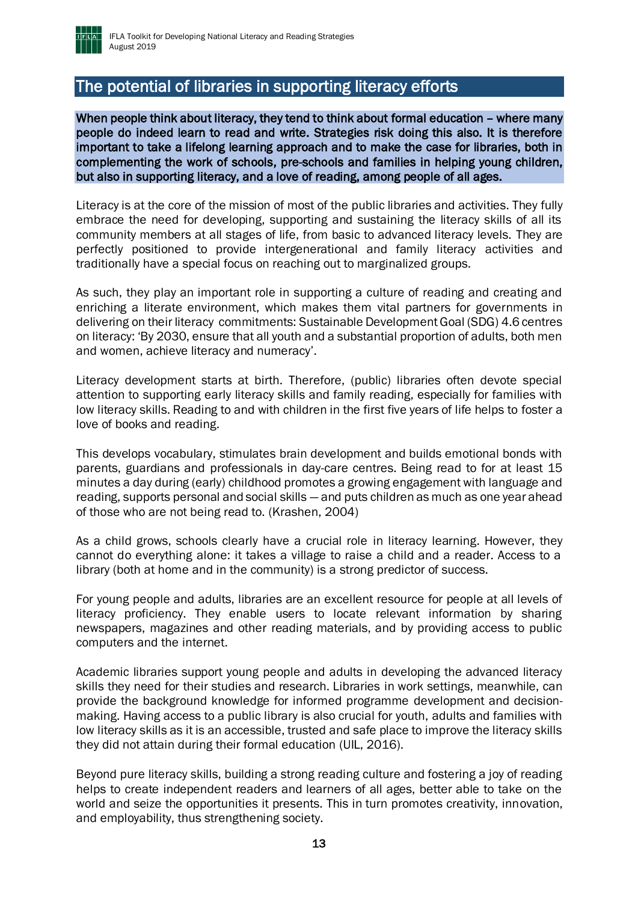

### <span id="page-12-0"></span>The potential of libraries in supporting literacy efforts

When people think about literacy, they tend to think about formal education – where many people do indeed learn to read and write. Strategies risk doing this also. It is therefore important to take a lifelong learning approach and to make the case for libraries, both in complementing the work of schools, pre-schools and families in helping young children, but also in supporting literacy, and a love of reading, among people of all ages.

Literacy is at the core of the mission of most of the public libraries and activities. They fully embrace the need for developing, supporting and sustaining the literacy skills of all its community members at all stages of life, from basic to advanced literacy levels. They are perfectly positioned to provide intergenerational and family literacy activities and traditionally have a special focus on reaching out to marginalized groups.

As such, they play an important role in supporting a culture of reading and creating and enriching a literate environment, which makes them vital partners for governments in delivering on their literacy commitments: Sustainable Development Goal (SDG) 4.6 centres on literacy: 'By 2030, ensure that all youth and a substantial proportion of adults, both men and women, achieve literacy and numeracy'.

Literacy development starts at birth. Therefore, (public) libraries often devote special attention to supporting early literacy skills and family reading, especially for families with low literacy skills. Reading to and with children in the first five years of life helps to foster a love of books and reading.

This develops vocabulary, stimulates brain development and builds emotional bonds with parents, guardians and professionals in day-care centres. Being read to for at least 15 minutes a day during (early) childhood promotes a growing engagement with language and reading, supports personal and social skills — and puts children as much as one year ahead of those who are not being read to. (Krashen, 2004)

As a child grows, schools clearly have a crucial role in literacy learning. However, they cannot do everything alone: it takes a village to raise a child and a reader. Access to a library (both at home and in the community) is a strong predictor of success.

For young people and adults, libraries are an excellent resource for people at all levels of literacy proficiency. They enable users to locate relevant information by sharing newspapers, magazines and other reading materials, and by providing access to public computers and the internet.

Academic libraries support young people and adults in developing the advanced literacy skills they need for their studies and research. Libraries in work settings, meanwhile, can provide the background knowledge for informed programme development and decisionmaking. Having access to a public library is also crucial for youth, adults and families with low literacy skills as it is an accessible, trusted and safe place to improve the literacy skills they did not attain during their formal education (UIL, 2016).

Beyond pure literacy skills, building a strong reading culture and fostering a joy of reading helps to create independent readers and learners of all ages, better able to take on the world and seize the opportunities it presents. This in turn promotes creativity, innovation, and employability, thus strengthening society.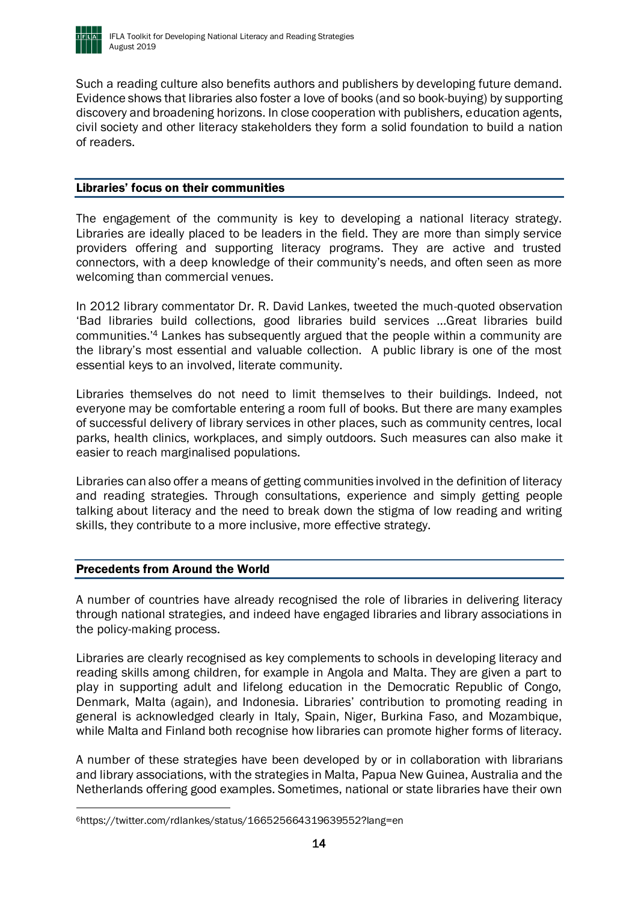

Such a reading culture also benefits authors and publishers by developing future demand. Evidence shows that libraries also foster a love of books (and so book-buying) by supporting discovery and broadening horizons. In close cooperation with publishers, education agents, civil society and other literacy stakeholders they form a solid foundation to build a nation of readers.

#### <span id="page-13-0"></span>Libraries' focus on their communities

The engagement of the community is key to developing a national literacy strategy. Libraries are ideally placed to be leaders in the field. They are more than simply service providers offering and supporting literacy programs. They are active and trusted connectors, with a deep knowledge of their community's needs, and often seen as more welcoming than commercial venues.

In 2012 library commentator Dr. R. David Lankes, tweeted the much-quoted observation 'Bad libraries build collections, good libraries build services ...Great libraries build communities.'<sup>4</sup> Lankes has subsequently argued that the people within a community are the library's most essential and valuable collection. A public library is one of the most essential keys to an involved, literate community.

Libraries themselves do not need to limit themselves to their buildings. Indeed, not everyone may be comfortable entering a room full of books. But there are many examples of successful delivery of library services in other places, such as community centres, local parks, health clinics, workplaces, and simply outdoors. Such measures can also make it easier to reach marginalised populations.

Libraries can also offer a means of getting communities involved in the definition of literacy and reading strategies. Through consultations, experience and simply getting people talking about literacy and the need to break down the stigma of low reading and writing skills, they contribute to a more inclusive, more effective strategy.

### <span id="page-13-1"></span>Precedents from Around the World

 $\overline{a}$ 

A number of countries have already recognised the role of libraries in delivering literacy through national strategies, and indeed have engaged libraries and library associations in the policy-making process.

Libraries are clearly recognised as key complements to schools in developing literacy and reading skills among children, for example in Angola and Malta. They are given a part to play in supporting adult and lifelong education in the Democratic Republic of Congo, Denmark, Malta (again), and Indonesia. Libraries' contribution to promoting reading in general is acknowledged clearly in Italy, Spain, Niger, Burkina Faso, and Mozambique, while Malta and Finland both recognise how libraries can promote higher forms of literacy.

A number of these strategies have been developed by or in collaboration with librarians and library associations, with the strategies in Malta, Papua New Guinea, Australia and the Netherlands offering good examples. Sometimes, national or state libraries have their own

<sup>6</sup>https://twitter.com/rdlankes/status/166525664319639552?lang=en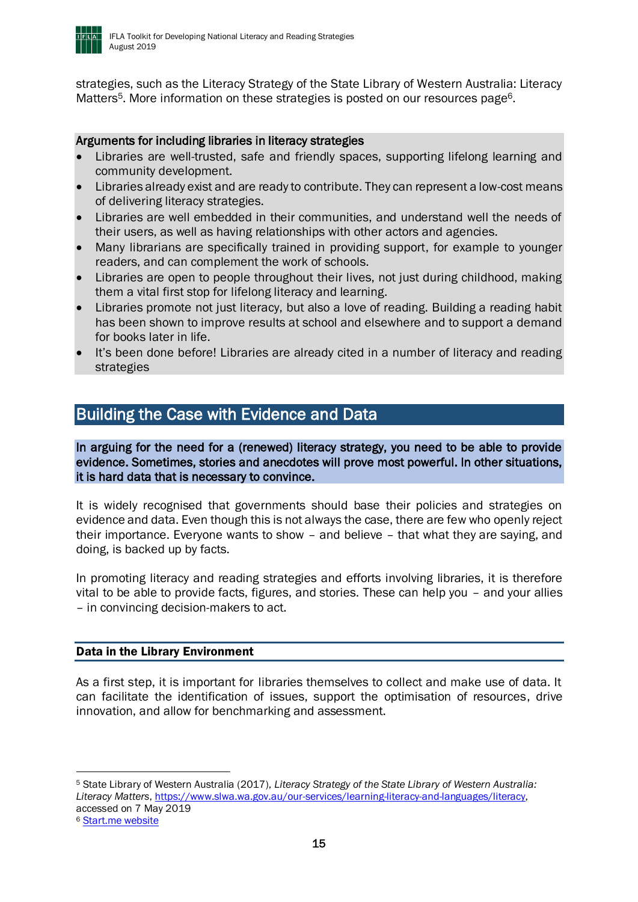

strategies, such as the Literacy Strategy of the State Library of Western Australia: Literacy Matters<sup>5</sup>. More information on these strategies is posted on our resources page<sup>6</sup>.

### Arguments for including libraries in literacy strategies

- Libraries are well-trusted, safe and friendly spaces, supporting lifelong learning and community development.
- Libraries already exist and are ready to contribute. They can represent a low-cost means of delivering literacy strategies.
- Libraries are well embedded in their communities, and understand well the needs of their users, as well as having relationships with other actors and agencies.
- Many librarians are specifically trained in providing support, for example to younger readers, and can complement the work of schools.
- Libraries are open to people throughout their lives, not just during childhood, making them a vital first stop for lifelong literacy and learning.
- Libraries promote not just literacy, but also a love of reading. Building a reading habit has been shown to improve results at school and elsewhere and to support a demand for books later in life.
- It's been done before! Libraries are already cited in a number of literacy and reading strategies

### <span id="page-14-0"></span>Building the Case with Evidence and Data

In arguing for the need for a (renewed) literacy strategy, you need to be able to provide evidence. Sometimes, stories and anecdotes will prove most powerful. In other situations, it is hard data that is necessary to convince.

It is widely recognised that governments should base their policies and strategies on evidence and data. Even though this is not always the case, there are few who openly reject their importance. Everyone wants to show – and believe – that what they are saying, and doing, is backed up by facts.

In promoting literacy and reading strategies and efforts involving libraries, it is therefore vital to be able to provide facts, figures, and stories. These can help you – and your allies – in convincing decision-makers to act.

### <span id="page-14-1"></span>Data in the Library Environment

As a first step, it is important for libraries themselves to collect and make use of data. It can facilitate the identification of issues, support the optimisation of resources, drive innovation, and allow for benchmarking and assessment.

<sup>5</sup> State Library of Western Australia (2017), *Literacy Strategy of the State Library of Western Australia: Literacy Matters*, [https://www.slwa.wa.gov.au/our-services/learning-literacy-and-languages/literacy,](https://www.slwa.wa.gov.au/our-services/learning-literacy-and-languages/literacy) accessed on 7 May 2019

<sup>6</sup> [Start.me website](https://start.me/p/Z9eygL/startpagina)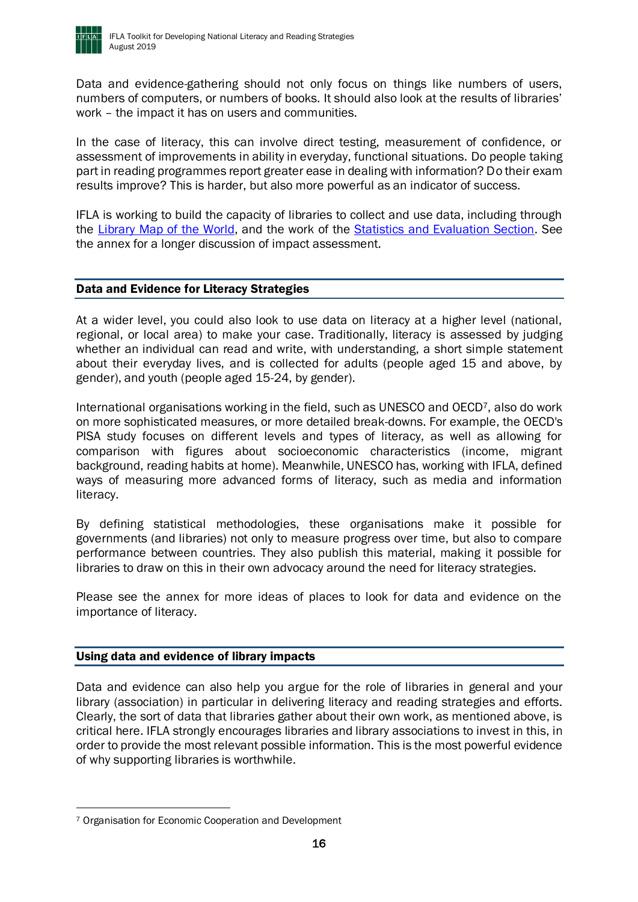

Data and evidence-gathering should not only focus on things like numbers of users, numbers of computers, or numbers of books. It should also look at the results of libraries' work – the impact it has on users and communities.

In the case of literacy, this can involve direct testing, measurement of confidence, or assessment of improvements in ability in everyday, functional situations. Do people taking part in reading programmes report greater ease in dealing with information? Do their exam results improve? This is harder, but also more powerful as an indicator of success.

IFLA is working to build the capacity of libraries to collect and use data, including through the [Library Map of the World,](https://librarymap.ifla.org/) and the work of the [Statistics and Evaluation Section.](https://www.ifla.org/statistics-and-evaluation) See the annex for a longer discussion of impact assessment.

### <span id="page-15-0"></span>Data and Evidence for Literacy Strategies

At a wider level, you could also look to use data on literacy at a higher level (national, regional, or local area) to make your case. Traditionally, literacy is assessed by judging whether an individual can read and write, with understanding, a short simple statement about their everyday lives, and is collected for adults (people aged 15 and above, by gender), and youth (people aged 15-24, by gender).

International organisations working in the field, such as UNESCO and OECD7, also do work on more sophisticated measures, or more detailed break-downs. For example, the OECD's PISA study focuses on different levels and types of literacy, as well as allowing for comparison with figures about socioeconomic characteristics (income, migrant background, reading habits at home). Meanwhile, UNESCO has, working with IFLA, defined ways of measuring more advanced forms of literacy, such as media and information literacy.

By defining statistical methodologies, these organisations make it possible for governments (and libraries) not only to measure progress over time, but also to compare performance between countries. They also publish this material, making it possible for libraries to draw on this in their own advocacy around the need for literacy strategies.

Please see the annex for more ideas of places to look for data and evidence on the importance of literacy.

### <span id="page-15-1"></span>Using data and evidence of library impacts

Data and evidence can also help you argue for the role of libraries in general and your library (association) in particular in delivering literacy and reading strategies and efforts. Clearly, the sort of data that libraries gather about their own work, as mentioned above, is critical here. IFLA strongly encourages libraries and library associations to invest in this, in order to provide the most relevant possible information. This is the most powerful evidence of why supporting libraries is worthwhile.

<sup>7</sup> Organisation for Economic Cooperation and Development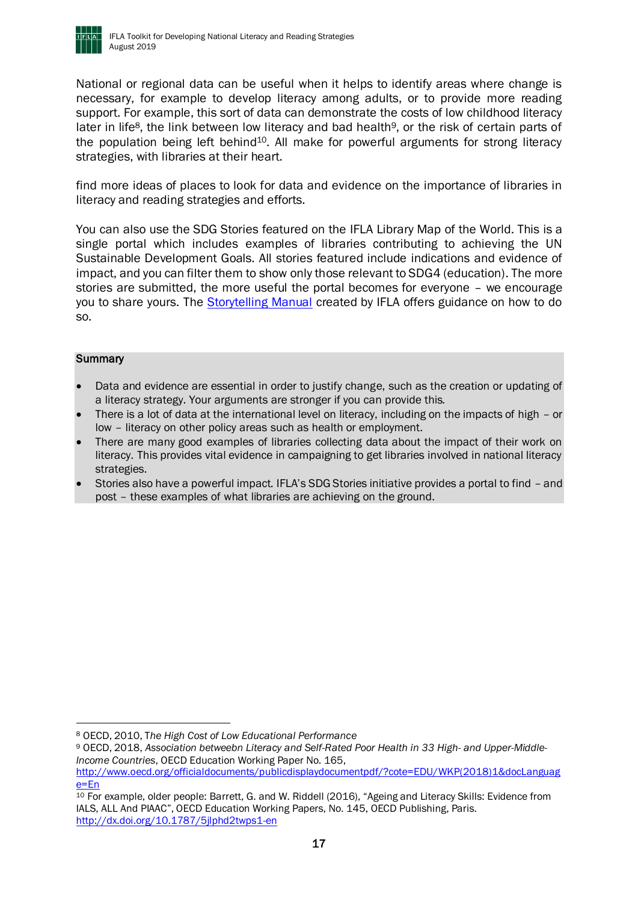

National or regional data can be useful when it helps to identify areas where change is necessary, for example to develop literacy among adults, or to provide more reading support. For example, this sort of data can demonstrate the costs of low childhood literacy later in life<sup>8</sup>, the link between low literacy and bad health<sup>9</sup>, or the risk of certain parts of the population being left behind<sup>10</sup>. All make for powerful arguments for strong literacy strategies, with libraries at their heart.

find more ideas of places to look for data and evidence on the importance of libraries in literacy and reading strategies and efforts.

You can also use the SDG Stories featured on the IFLA Library Map of the World. This is a single portal which includes examples of libraries contributing to achieving the UN Sustainable Development Goals. All stories featured include indications and evidence of impact, and you can filter them to show only those relevant to SDG4 (education). The more stories are submitted, the more useful the portal becomes for everyone – we encourage you to share yours. The [Storytelling Manual](https://www.ifla.org/publications/libraries-and-the-sustainable-development-goals-a-storytelling-manual) created by IFLA offers guidance on how to do so.

#### **Summary**

- Data and evidence are essential in order to justify change, such as the creation or updating of a literacy strategy. Your arguments are stronger if you can provide this.
- There is a lot of data at the international level on literacy, including on the impacts of high or low – literacy on other policy areas such as health or employment.
- There are many good examples of libraries collecting data about the impact of their work on literacy. This provides vital evidence in campaigning to get libraries involved in national literacy strategies.
- Stories also have a powerful impact. IFLA's SDG Stories initiative provides a portal to find and post – these examples of what libraries are achieving on the ground.

<sup>8</sup> OECD, 2010, T*he High Cost of Low Educational Performance*

<sup>9</sup> OECD, 2018, *Association betweebn Literacy and Self-Rated Poor Health in 33 High- and Upper-Middle-Income Countries*, OECD Education Working Paper No. 165,

[http://www.oecd.org/officialdocuments/publicdisplaydocumentpdf/?cote=EDU/WKP\(2018\)1&docLanguag](http://www.oecd.org/officialdocuments/publicdisplaydocumentpdf/?cote=EDU/WKP(2018)1&docLanguage=En)  $e = Fn$ 

<sup>10</sup> For example, older people: Barrett, G. and W. Riddell (2016), "Ageing and Literacy Skills: Evidence from IALS, ALL And PIAAC", OECD Education Working Papers, No. 145, OECD Publishing, Paris. <http://dx.doi.org/10.1787/5jlphd2twps1-en>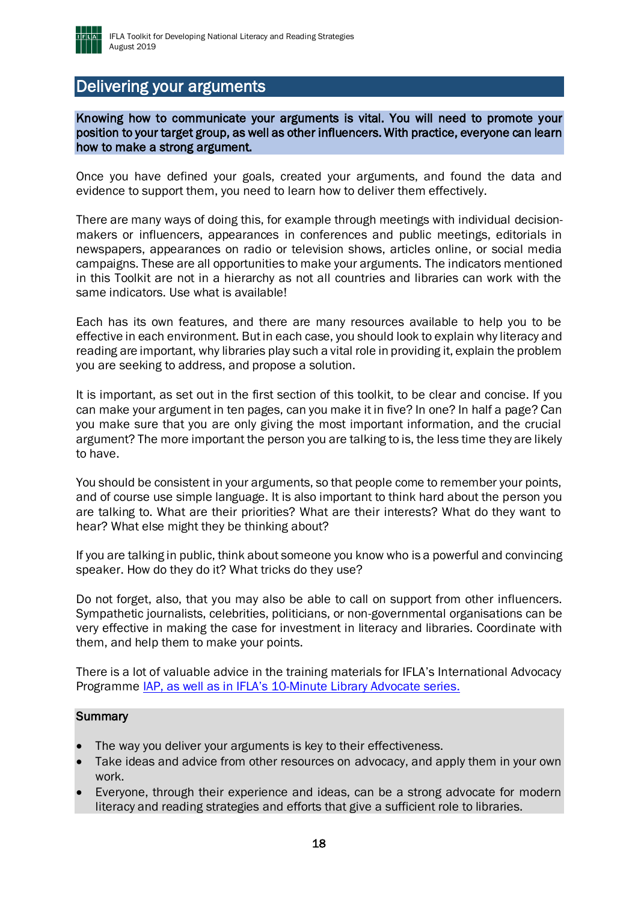

### <span id="page-17-0"></span>Delivering your arguments

Knowing how to communicate your arguments is vital. You will need to promote your position to your target group, as well as other influencers. With practice, everyone can learn how to make a strong argument.

Once you have defined your goals, created your arguments, and found the data and evidence to support them, you need to learn how to deliver them effectively.

There are many ways of doing this, for example through meetings with individual decisionmakers or influencers, appearances in conferences and public meetings, editorials in newspapers, appearances on radio or television shows, articles online, or social media campaigns. These are all opportunities to make your arguments. The indicators mentioned in this Toolkit are not in a hierarchy as not all countries and libraries can work with the same indicators. Use what is available!

Each has its own features, and there are many resources available to help you to be effective in each environment. But in each case, you should look to explain why literacy and reading are important, why libraries play such a vital role in providing it, explain the problem you are seeking to address, and propose a solution.

It is important, as set out in the first section of this toolkit, to be clear and concise. If you can make your argument in ten pages, can you make it in five? In one? In half a page? Can you make sure that you are only giving the most important information, and the crucial argument? The more important the person you are talking to is, the less time they are likely to have.

You should be consistent in your arguments, so that people come to remember your points, and of course use simple language. It is also important to think hard about the person you are talking to. What are their priorities? What are their interests? What do they want to hear? What else might they be thinking about?

If you are talking in public, think about someone you know who is a powerful and convincing speaker. How do they do it? What tricks do they use?

Do not forget, also, that you may also be able to call on support from other influencers. Sympathetic journalists, celebrities, politicians, or non-governmental organisations can be very effective in making the case for investment in literacy and libraries. Coordinate with them, and help them to make your points.

There is a lot of valuable advice in the training materials for IFLA's International Advocacy Programme *IAP*, as well as in IFLA's [10-Minute Library Advocate series.](https://blogs.ifla.org/lpa/tag/everylibrariananadvocate/)

#### **Summary**

- The way you deliver your arguments is key to their effectiveness.
- Take ideas and advice from other resources on advocacy, and apply them in your own work.
- Everyone, through their experience and ideas, can be a strong advocate for modern literacy and reading strategies and efforts that give a sufficient role to libraries.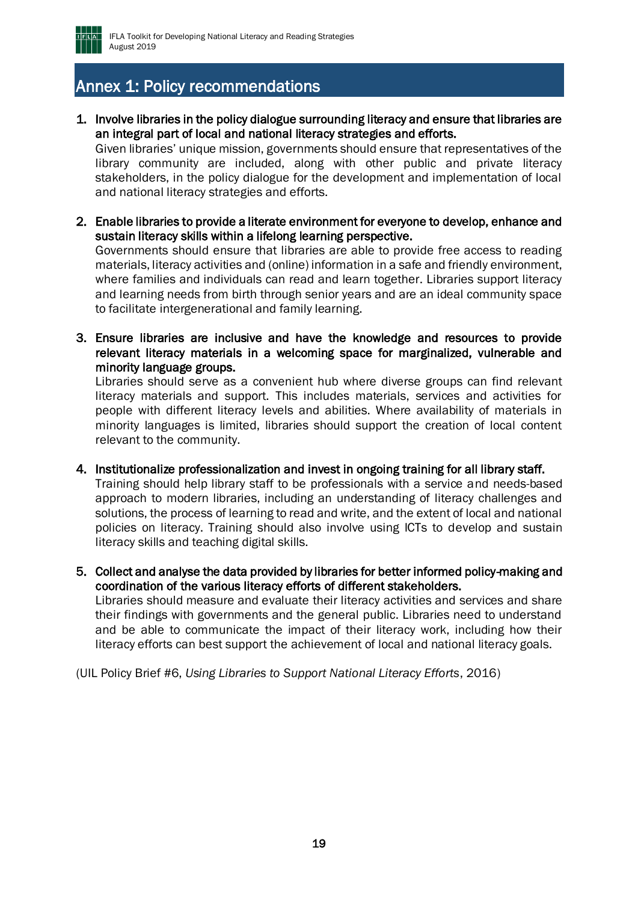

## <span id="page-18-0"></span>Annex 1: Policy recommendations

1. Involve libraries in the policy dialogue surrounding literacy and ensure that libraries are an integral part of local and national literacy strategies and efforts.

Given libraries' unique mission, governments should ensure that representatives of the library community are included, along with other public and private literacy stakeholders, in the policy dialogue for the development and implementation of local and national literacy strategies and efforts.

2. Enable libraries to provide a literate environment for everyone to develop, enhance and sustain literacy skills within a lifelong learning perspective.

Governments should ensure that libraries are able to provide free access to reading materials, literacy activities and (online) information in a safe and friendly environment, where families and individuals can read and learn together. Libraries support literacy and learning needs from birth through senior years and are an ideal community space to facilitate intergenerational and family learning.

3. Ensure libraries are inclusive and have the knowledge and resources to provide relevant literacy materials in a welcoming space for marginalized, vulnerable and minority language groups.

Libraries should serve as a convenient hub where diverse groups can find relevant literacy materials and support. This includes materials, services and activities for people with different literacy levels and abilities. Where availability of materials in minority languages is limited, libraries should support the creation of local content relevant to the community.

- 4. Institutionalize professionalization and invest in ongoing training for all library staff. Training should help library staff to be professionals with a service and needs-based approach to modern libraries, including an understanding of literacy challenges and solutions, the process of learning to read and write, and the extent of local and national policies on literacy. Training should also involve using ICTs to develop and sustain literacy skills and teaching digital skills.
- 5. Collect and analyse the data provided by libraries for better informed policy-making and coordination of the various literacy efforts of different stakeholders. Libraries should measure and evaluate their literacy activities and services and share their findings with governments and the general public. Libraries need to understand and be able to communicate the impact of their literacy work, including how their literacy efforts can best support the achievement of local and national literacy goals.

(UIL Policy Brief #6, *Using Libraries to Support National Literacy Efforts*, 2016)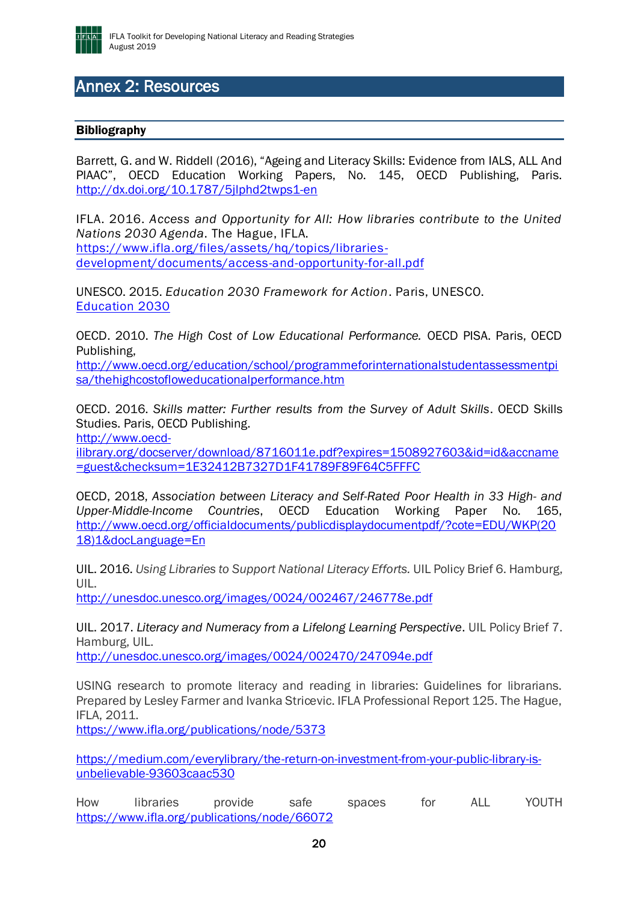

## <span id="page-19-0"></span>Annex 2: Resources

### <span id="page-19-1"></span>Bibliography

Barrett, G. and W. Riddell (2016), "Ageing and Literacy Skills: Evidence from IALS, ALL And PIAAC", OECD Education Working Papers, No. 145, OECD Publishing, Paris. <http://dx.doi.org/10.1787/5jlphd2twps1-en>

IFLA. 2016. *Access and Opportunity for All: How libraries contribute to the United Nations 2030 Agenda*. The Hague, IFLA. [https://www.ifla.org/files/assets/hq/topics/libraries](https://www.ifla.org/files/assets/hq/topics/libraries-development/documents/access-and-opportunity-for-all.pdf)[development/documents/access-and-opportunity-for-all.pdf](https://www.ifla.org/files/assets/hq/topics/libraries-development/documents/access-and-opportunity-for-all.pdf)

UNESCO. 2015. *[Education 2030 Framework for Action](http://www.unesco.org/new/fileadmin/MULTIMEDIA/HQ/ED/ED_new/pdf/FFA-ENG-27Oct15.pdf)*. Paris, UNESCO. [Education 2030](http://www.unesco.org/new/fileadmin/MULTIMEDIA/HQ/ED/ED_new/pdf/FFA-ENG-27Oct15.pdf)

OECD. 2010. *The High Cost of Low Educational Performance.* OECD PISA. Paris, OECD Publishing,

[http://www.oecd.org/education/school/programmeforinternationalstudentassessmentpi](http://www.oecd.org/education/school/programmeforinternationalstudentassessmentpisa/thehighcostofloweducationalperformance.htm) [sa/thehighcostofloweducationalperformance.htm](http://www.oecd.org/education/school/programmeforinternationalstudentassessmentpisa/thehighcostofloweducationalperformance.htm)

OECD. 2016. *Skills matter: Further results from the Survey of Adult Skills*. OECD Skills Studies. Paris, OECD Publishing.

[http://www.oecd-](http://www.oecd-ilibrary.org/docserver/download/8716011e.pdf?expires=1508927603&id=id&accname=guest&checksum=1E32412B7327D1F41789F89F64C5FFFC)

[ilibrary.org/docserver/download/8716011e.pdf?expires=1508927603&id=id&accname](http://www.oecd-ilibrary.org/docserver/download/8716011e.pdf?expires=1508927603&id=id&accname=guest&checksum=1E32412B7327D1F41789F89F64C5FFFC) [=guest&checksum=1E32412B7327D1F41789F89F64C5FFFC](http://www.oecd-ilibrary.org/docserver/download/8716011e.pdf?expires=1508927603&id=id&accname=guest&checksum=1E32412B7327D1F41789F89F64C5FFFC)

OECD, 2018, *Association between Literacy and Self-Rated Poor Health in 33 High- and Upper-Middle-Income Countries*, OECD Education Working Paper No. 165, [http://www.oecd.org/officialdocuments/publicdisplaydocumentpdf/?cote=EDU/WKP\(20](http://www.oecd.org/officialdocuments/publicdisplaydocumentpdf/?cote=EDU/WKP(2018)1&docLanguage=En) [18\)1&docLanguage=En](http://www.oecd.org/officialdocuments/publicdisplaydocumentpdf/?cote=EDU/WKP(2018)1&docLanguage=En)

UIL. 2016. *Using Libraries to Support National Literacy Efforts.* UIL Policy Brief 6. Hamburg, UIL.

<http://unesdoc.unesco.org/images/0024/002467/246778e.pdf>

UIL. 2017. *Literacy and Numeracy from a Lifelong Learning Perspective*. UIL Policy Brief 7. Hamburg, UIL.

<http://unesdoc.unesco.org/images/0024/002470/247094e.pdf>

USING research to promote literacy and reading in libraries: Guidelines for librarians. Prepared by Lesley Farmer and Ivanka Stricevic. IFLA Professional Report 125. The Hague, IFLA, 2011.

<https://www.ifla.org/publications/node/5373>

[https://medium.com/everylibrary/the-return-on-investment-from-your-public-library-is](https://medium.com/everylibrary/the-return-on-investment-from-your-public-library-is-unbelievable-93603caac530)[unbelievable-93603caac530](https://medium.com/everylibrary/the-return-on-investment-from-your-public-library-is-unbelievable-93603caac530)

How libraries provide safe spaces for ALL YOUTH <https://www.ifla.org/publications/node/66072>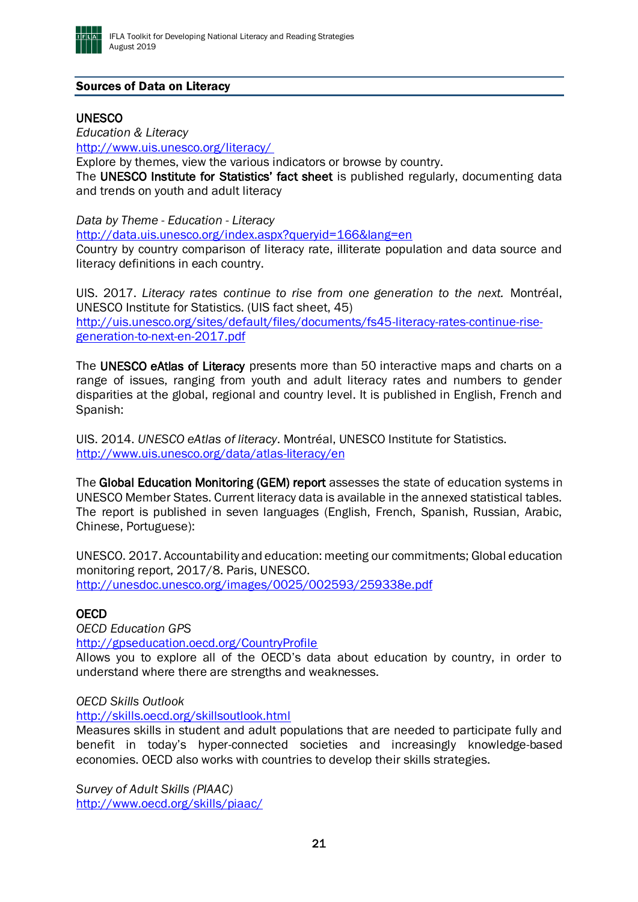

### <span id="page-20-0"></span>Sources of Data on Literacy

#### **UNESCO**

*Education & Literacy*

[http://www.uis.unesco.org/literacy/](http://www.uis.unesco.org/literacy/ )

Explore by themes, view the various indicators or browse by country.

The UNESCO Institute for Statistics' fact sheet is published regularly, documenting data and trends on youth and adult literacy

*Data by Theme - Education - Literacy*

<http://data.uis.unesco.org/index.aspx?queryid=166&lang=en>

Country by country comparison of literacy rate, illiterate population and data source and literacy definitions in each country.

UIS. 2017. *Literacy rates continue to rise from one generation to the next.* Montréal, UNESCO Institute for Statistics. (UIS fact sheet, 45) [http://uis.unesco.org/sites/default/files/documents/fs45-literacy-rates-continue-rise](http://uis.unesco.org/sites/default/files/documents/fs45-literacy-rates-continue-rise-generation-to-next-en-2017.pdf)[generation-to-next-en-2017.pdf](http://uis.unesco.org/sites/default/files/documents/fs45-literacy-rates-continue-rise-generation-to-next-en-2017.pdf)

The UNESCO eAtlas of Literacy presents more than 50 interactive maps and charts on a range of issues, ranging from youth and adult literacy rates and numbers to gender disparities at the global, regional and country level. It is published in English, French and Spanish:

UIS. 2014. *UNESCO eAtlas of literacy*. Montréal, UNESCO Institute for Statistics. <http://www.uis.unesco.org/data/atlas-literacy/en>

The Global Education Monitoring (GEM) report assesses the state of education systems in UNESCO Member States. Current literacy data is available in the annexed statistical tables. The report is published in seven languages (English, French, Spanish, Russian, Arabic, Chinese, Portuguese):

UNESCO. 2017. Accountability and education: meeting our commitments; Global education monitoring report, 2017/8. Paris, UNESCO. <http://unesdoc.unesco.org/images/0025/002593/259338e.pdf>

### **OECD**

*OECD Education GPS*

<http://gpseducation.oecd.org/CountryProfile>

Allows you to explore all of the OECD's data about education by country, in order to understand where there are strengths and weaknesses.

#### *OECD Skills Outlook*

<http://skills.oecd.org/skillsoutlook.html>

Measures skills in student and adult populations that are needed to participate fully and benefit in today's hyper-connected societies and increasingly knowledge-based economies. OECD also works with countries to develop their skills strategies.

*[Survey of Adult Skills \(PIAAC\)](https://www.oecd.org/site/piaac/surveyofadultskills.htm)* <http://www.oecd.org/skills/piaac/>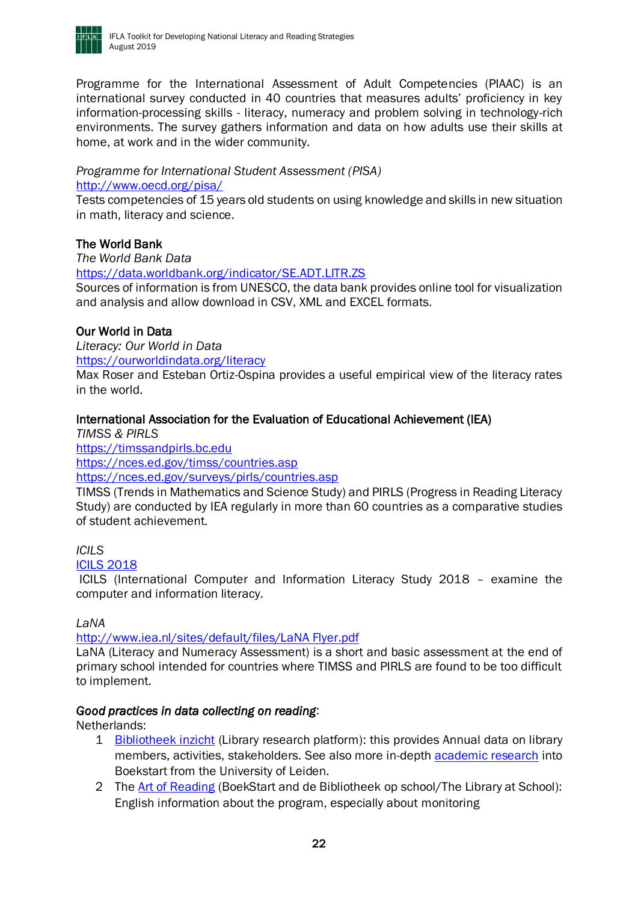

Programme for the International Assessment of Adult Competencies (PIAAC) is an international survey conducted in 40 countries that measures adults' proficiency in key information-processing skills - literacy, numeracy and problem solving in technology-rich environments. The survey gathers information and data on how adults use their skills at home, at work and in the wider community.

# *Programme for International Student Assessment (PISA)*

<http://www.oecd.org/pisa/>

Tests competencies of 15 years old students on using knowledge and skills in new situation in math, literacy and science.

### The World Bank

*The World Bank Data*

<https://data.worldbank.org/indicator/SE.ADT.LITR.ZS>

Sources of information is from UNESCO, the data bank provides online tool for visualization and analysis and allow download in CSV, XML and EXCEL formats.

### Our World in Data

*Literacy: Our World in Data* <https://ourworldindata.org/literacy>

Max Roser and Esteban Ortiz-Ospina provides a useful empirical view of the literacy rates in the world.

### International Association for the Evaluation of Educational Achievement (IEA)

*TIMSS & PIRLS* [https://timssandpirls.bc.edu](https://timssandpirls.bc.edu/) <https://nces.ed.gov/timss/countries.asp> <https://nces.ed.gov/surveys/pirls/countries.asp>

TIMSS (Trends in Mathematics and Science Study) and PIRLS (Progress in Reading Literacy Study) are conducted by IEA regularly in more than 60 countries as a comparative studies of student achievement.

### *ICILS*

### [ICILS 2018](https://www.iea.nl/sites/default/files/studies/IEA%20ICILS%202018%20leaflet.pdf)

ICILS (International Computer and Information Literacy Study 2018 – examine the computer and information literacy.

### *LaNA*

### [http://www.iea.nl/sites/default/files/LaNA Flyer.pdf](http://www.iea.nl/sites/default/files/LaNA%20Flyer.pdf)

LaNA (Literacy and Numeracy Assessment) is a short and basic assessment at the end of primary school intended for countries where TIMSS and PIRLS are found to be too difficult to implement.

### *Good practices in data collecting on reading*:

Netherlands:

- 1 [Bibliotheek inzicht](https://www.bibliotheekinzicht.nl/) (Library research platform): this provides Annual data on library members, activities, stakeholders. See also more in-depth [academic research](https://openaccess.leidenuniv.nl/handle/1887/33033) into Boekstart from the University of Leiden.
- 2 The [Art of Reading](https://www.kunstvanlezen.nl/?page_id=4020) (BoekStart and de Bibliotheek op school/The Library at School): English information about the program, especially about monitoring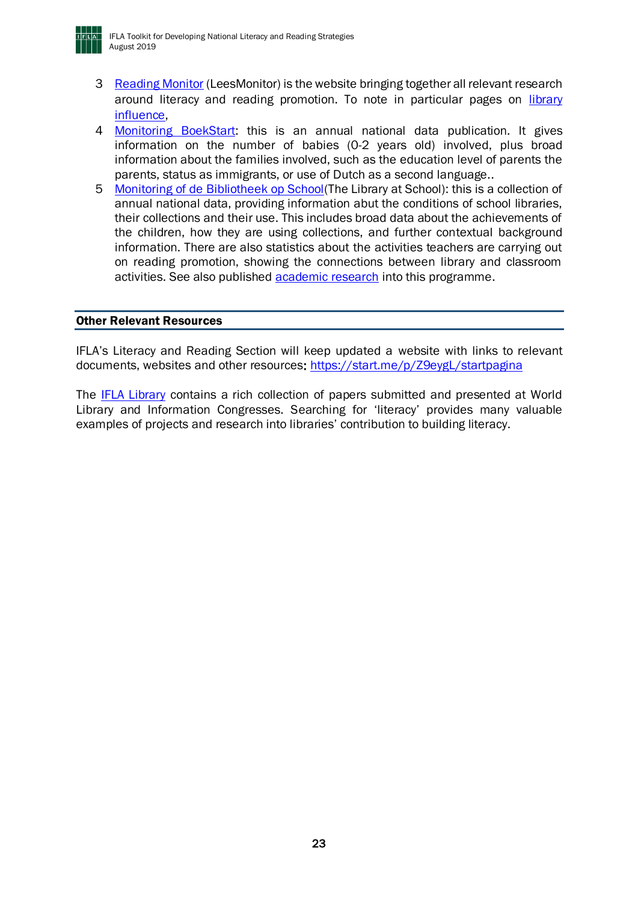

- 3 [Reading Monitor](file:///C:/Users/stephen/AppData/Local/Microsoft/Windows/INetCache/Content.Outlook/38I34B33/3.The%20link%20to%20leesmonitor,%20the%20research%20website%20from%20the%20Dutch%20Reading%20foundation:%20https:/www.leesmonitor.nu/en/promoting-reading%20and%20the%20influence%20of%20libraries:%20https:/www.leesmonitor.nu/en/library-influence) (LeesMonitor) is the website bringing together all relevant research around literacy and reading promotion. To note in particular pages on [library](https://www.leesmonitor.nu/en/library-influence)  [influence,](https://www.leesmonitor.nu/en/library-influence)
- 4 [Monitoring BoekStart:](http://www.boekstartpro.nl/page/7005/onderzoek) this is an annual national data publication. It gives information on the number of babies (0-2 years old) involved, plus broad information about the families involved, such as the education level of parents the parents, status as immigrants, or use of Dutch as a second language..
- 5 Monitoring of de Bibliotheek op School (The Library at School): this is a collection of annual national data, providing information abut the conditions of school libraries, their collections and their use. This includes broad data about the achievements of the children, how they are using collections, and further contextual background information. There are also statistics about the activities teachers are carrying out on reading promotion, showing the connections between library and classroom activities. See also published **academic research** into this programme.

#### <span id="page-22-0"></span>Other Relevant Resources

IFLA's Literacy and Reading Section will keep updated a website with links to relevant documents, websites and other resources[: https://start.me/p/Z9eygL/startpagina](https://start.me/p/Z9eygL/startpagina)

The [IFLA Library](http://library.ifla.org/) contains a rich collection of papers submitted and presented at World Library and Information Congresses. Searching for 'literacy' provides many valuable examples of projects and research into libraries' contribution to building literacy.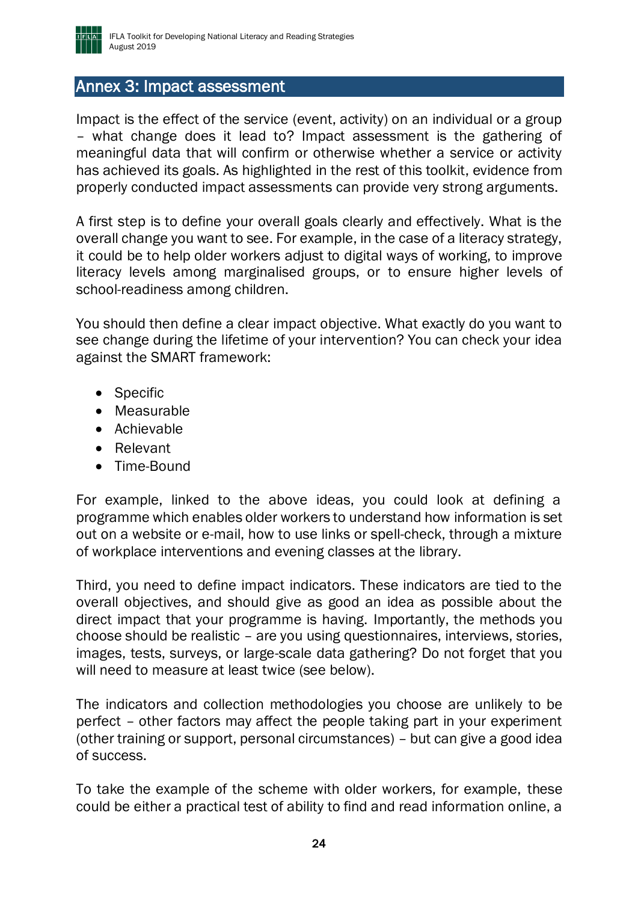

### <span id="page-23-0"></span>Annex 3: Impact assessment

Impact is the effect of the service (event, activity) on an individual or a group – what change does it lead to? Impact assessment is the gathering of meaningful data that will confirm or otherwise whether a service or activity has achieved its goals. As highlighted in the rest of this toolkit, evidence from properly conducted impact assessments can provide very strong arguments.

A first step is to define your overall goals clearly and effectively. What is the overall change you want to see. For example, in the case of a literacy strategy, it could be to help older workers adjust to digital ways of working, to improve literacy levels among marginalised groups, or to ensure higher levels of school-readiness among children.

You should then define a clear impact objective. What exactly do you want to see change during the lifetime of your intervention? You can check your idea against the SMART framework:

- Specific
- Measurable
- Achievable
- Relevant
- Time-Bound

For example, linked to the above ideas, you could look at defining a programme which enables older workers to understand how information is set out on a website or e-mail, how to use links or spell-check, through a mixture of workplace interventions and evening classes at the library.

Third, you need to define impact indicators. These indicators are tied to the overall objectives, and should give as good an idea as possible about the direct impact that your programme is having. Importantly, the methods you choose should be realistic – are you using questionnaires, interviews, stories, images, tests, surveys, or large-scale data gathering? Do not forget that you will need to measure at least twice (see below).

The indicators and collection methodologies you choose are unlikely to be perfect – other factors may affect the people taking part in your experiment (other training or support, personal circumstances) – but can give a good idea of success.

To take the example of the scheme with older workers, for example, these could be either a practical test of ability to find and read information online, a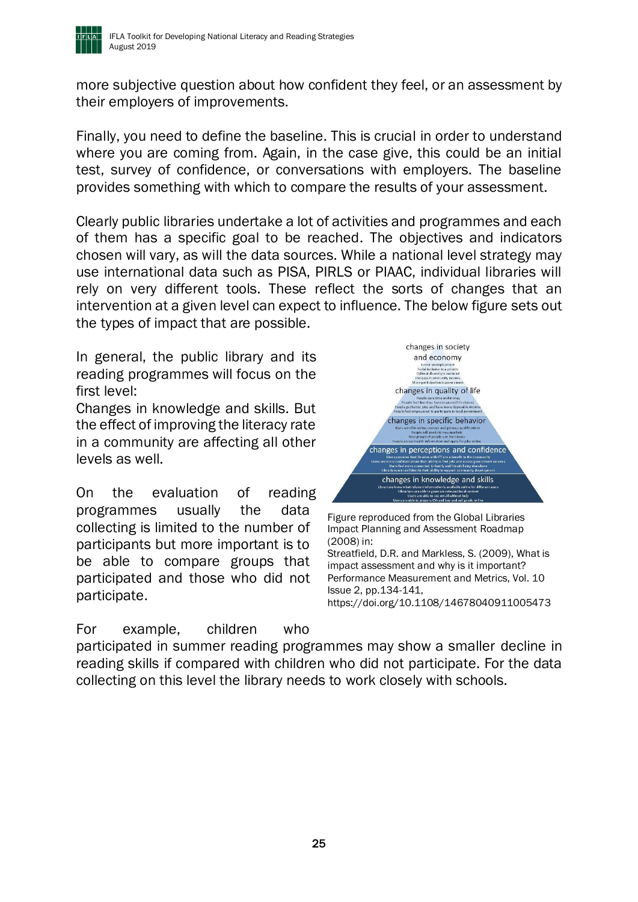

more subjective question about how confident they feel, or an assessment by their employers of improvements.

Finally, you need to define the baseline. This is crucial in order to understand where you are coming from. Again, in the case give, this could be an initial test, survey of confidence, or conversations with employers. The baseline provides something with which to compare the results of your assessment.

Clearly public libraries undertake a lot of activities and programmes and each of them has a specific goal to be reached. The objectives and indicators chosen will vary, as will the data sources. While a national level strategy may use international data such as PISA, PIRLS or PIAAC, individual libraries will rely on very different tools. These reflect the sorts of changes that an intervention at a given level can expect to influence. The below figure sets out the types of impact that are possible.

In general, the public library and its reading programmes will focus on the first level:

Changes in knowledge and skills. But the effect of improving the literacy rate in a community are affecting all other levels as well.

On the evaluation of reading programmes usually the data collecting is limited to the number of participants but more important is to be able to compare groups that participated and those who did not participate.

For example, children who



Figure reproduced from the Global Libraries Impact Planning and Assessment Roadmap (2008) in: Streatfield, D.R. and Markless, S. (2009), What is impact assessment and why is it important? Performance Measurement and Metrics, Vol. 10 Issue 2, pp.134-141, <https://doi.org/10.1108/14678040911005473>

participated in summer reading programmes may show a smaller decline in reading skills if compared with children who did not participate. For the data collecting on this level the library needs to work closely with schools.